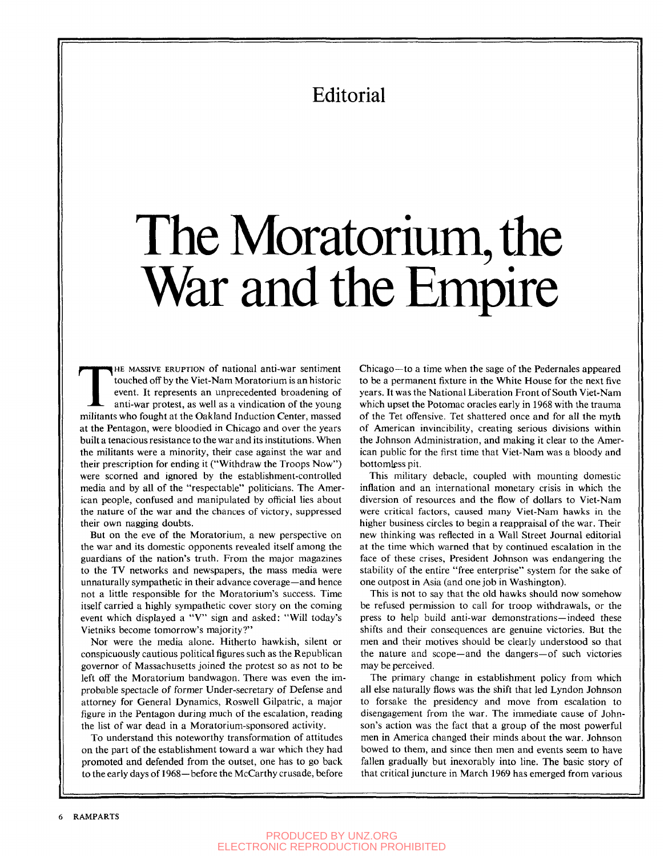## Editorial

## The Moratorium, the War and the Empire

THE MASSIVE ERUPTION of national anti-war sentiment touched off by the Viet-Nam Moratorium is an historic event. It represents an unprecedented broadening of anti-war protest, as well as a vindication of the young militant HE MASSIVE ERUPTION of national anti-war sentiment touched off by the Viet-Nam Moratorium is an historic event. It represents an unprecedented broadening of anti-war protest, as well as a vindication of the young at the Pentagon, were bloodied in Chicago and over the years built a tenacious resistance to the war and its institutions. When the militants were a minority, their case against the war and their prescription for ending it ("Withdraw the Troops Now") were scorned and ignored by the establishment-controlled media and by all of the "respectable" politicians. The American people, confused and manipulated by official lies about the nature of the war and the chances of victory, suppressed their own nagging doubts.

But on the eve of the Moratorium, a new perspective on the war and its domestic opponents revealed itself among the guardians of the nation's truth. From the major magazines to the TV networks and newspapers, the mass media were unnaturally sympathetic in their advance coverage—and hence not a little responsible for the Moratorium's success. Time itself carried a highly sympathetic cover story on the coming event which displayed a "V" sign and asked: "Will today's Vietniks become tomorrow's majority?"

Nor were the media alone. Hitherto hawkish, silent or conspicuously cautious political figures such as the Republican governor of Massachusetts joined the protest so as not to be left off the Moratorium bandwagon. There was even the improbable spectacle of former Under-secretary of Defense and attorney for General Dynamics, Roswell Gilpatric, a major figure in the Pentagon during much of the escalation, reading the list of war dead in a Moratorium-sponsored activity.

To understand this noteworthy transformation of attitudes on the part of the establishment toward a war which they had promoted and defended from the outset, one has to go back to the early days of 1968—before the McCarthy crusade, before

Chicago—to a time when the sage of the Pedernales appeared to be a permanent fixture in the White House for the next five years. It was the National Liberation Front of South Viet-Nam which upset the Potomac oracles early in 1968 with the trauma of the Tet offensive. Tet shattered once and for all the myth of American invincibility, creating serious divisions within the Johnson Administration, and making it clear to the American public for the first time that Viet-Nam was a bloody and bottomless pit.

This military debacle, coupled with mounting domestic inflation and an international monetary crisis in which the diversion of resources and the flow of dollars to Viet-Nam were critical factors, caused many Viet-Nam hawks in the higher business circles to begin a reappraisal of the war. Their new thinking was reflected in a Wall Street Journal editorial at the time which warned that by continued escalation in the face of these crises. President Johnson was endangering the stability of the entire "free enterprise" system for the sake of one outpost in Asia (and one job in Washington).

This is not to say that the old hawks should now somehow be refused permission to call for troop withdrawals, or the press to help build anti-war demonstrations—indeed these shifts and their consequences are genuine victories. But the men and their motives should be clearly understood so that the nature and scope—and the dangers—of such victories may be perceived.

The primary change in establishment policy from which all else naturally flows was the shift that led Lyndon Johnson to forsake the presidency and move from escalation to disengagement from the war. The immediate cause of Johnson's action was the fact that a group of the most powerful men in America changed their minds about the war. Johnson bowed to them, and since then men and events seem to have fallen gradually but inexorably into line. The basic story of that critical juncture in March 1969 has emerged from various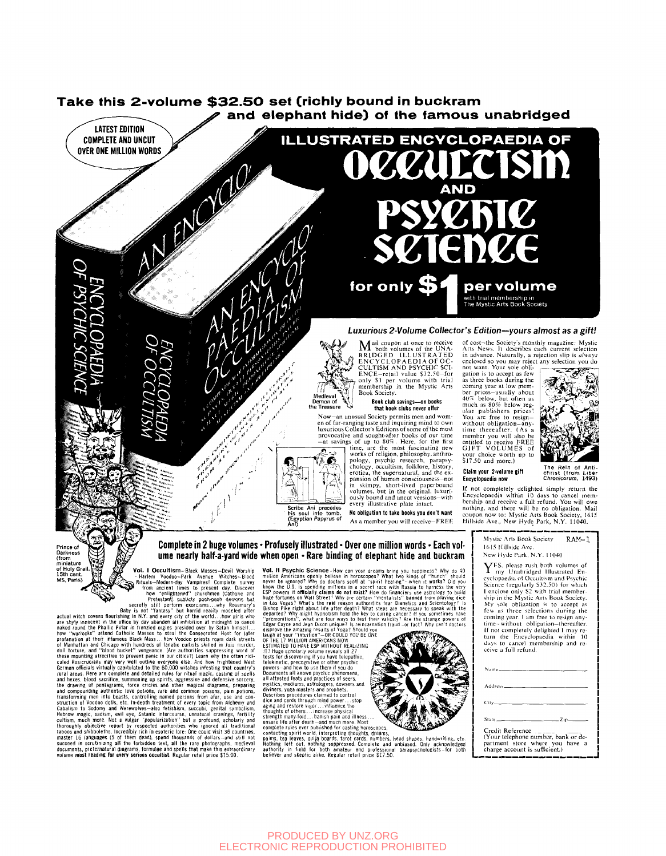

Ume meatrly half-a-yard wide<br>
(from this contribution<br>
of Holy Grain (from This Contribution (from This Contribution Contribution Contribution Figure 2012)<br>
Not, I Occultism-Black Masses-Devil Worship<br>
13th cent. Notice th

**When open - Rare binding of elephant hide and buckram**<br>
Yol. Il Psychic Science - How can your dreams bring you happiness? Why do 40<br>
mivion Americans one) whele is a horoscope? What we had a fill-work in the pair of the



my sole obligation is to accept as<br>few as three selections during the<br>coming year. I am free to resign any-<br>time-without obligation-thereafter. and the completely delighted I may re-<br>turn the Encyclopaedia within 10<br>days to cancel membership and receive a full refund. Address

Credit Reference<br>Your telephone number, bank or department store where you have a charge account is sufficient.)

## **PRODUCED BY UNZ.ORG** ELECTRONIC REPRODUCTION PROHIBITED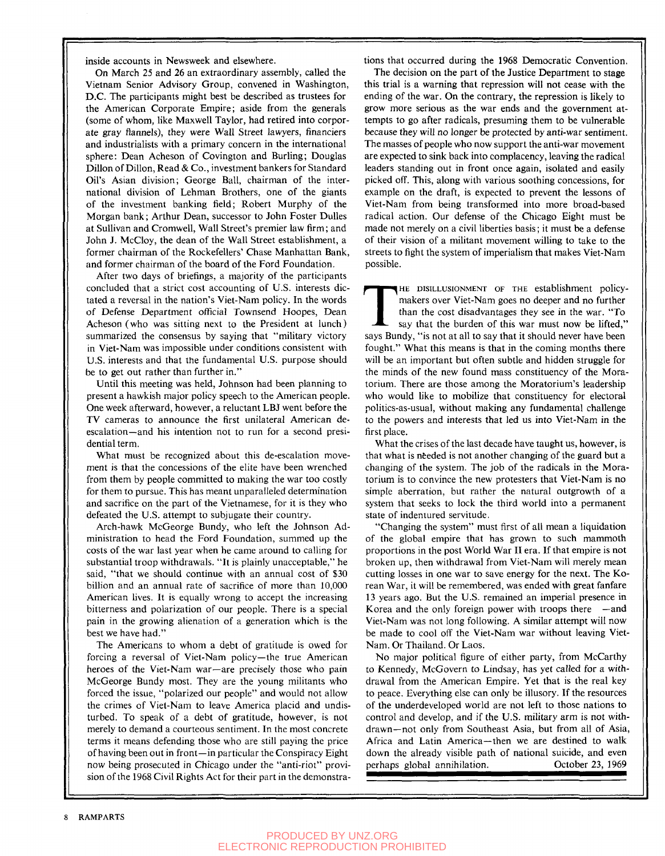inside accounts in Newsweek and elsewhere.

On March 25 and 26 an extraordinary assembly, called the Vietnam Senior Advisory Group, convened in Washington, D.C. The participants might best be described as trustees for the American Corporate Empire; aside from the generals (some of whom, like Maxwell Taylor, had retired into corporate gray flannels), they were Wall Street lawyers, financiers and industrialists with a primary concern in the international sphere: Dean Acheson of Covington and Burling; Douglas Dillon of Dillon, Read & Co., investment bankers for Standard Oil's Asian division; George Ball, chairman of the international division of Lehman Brothers, one of the giants of the investment banking field; Robert Murphy of the Morgan bank; Arthur Dean, successor to John Foster Dulles at Sullivan and Cromwell, Wall Street's premier law firm; and John J. McCloy, the dean of the Wall Street establishment, a former chairman of the Rockefellers' Chase Manhattan Bank, and former chairman of the board of the Ford Foundation.

After two days of briefings, a majority of the participants concluded that a strict cost accounting of U.S. interests dictated a reversal in the nation's Viet-Nam policy. In the words of Defense Department official Townsend Hoopes, Dean Acheson (who was sitting next to the President at lunch) summarized the consensus by saying that "military victory in Viet-Nam was impossible under conditions consistent with U.S. interests and that the fundamental U.S. purpose should be to get out rather than further in."

Until this meeting was held, Johnson had been planning to present a hawkish major policy speech to the American people. One week afterward, however, a reluctant LBJ went before the TV cameras to announce the first unilateral American deescalation—and his intention not to run for a second presidential term.

What must be recognized about this de-escalation movement is that the concessions of the elite have been wrenched from them by people committed to making the war too costly for them to pursue. This has meant unparalleled determination and sacrifice on the part of the Vietnamese, for it is they who defeated the U.S. attempt to subjugate their country.

Arch-hawk McGeorge Bundy, who left the Johnson Administration to head the Ford Foundation, summed up the costs of the war last year when he came around to calling for substantial troop withdrawals. "It is plainly unacceptable," he said, "that we should continue with an annual cost of \$30 billion and an annual rate of sacrifice of more than 10,000 American lives. It is equally wrong to accept the increasing bitterness and polarization of our people. There is a special pain in the growing alienation of a generation which is the best we have had."

The Americans to whom a debt of gratitude is owed for forcing a reversal of Viet-Nam policy—the true American heroes of the Viet-Nam war—are precisely those who pain McGeorge Bundy most. They are the young militants who forced the issue, "polarized our people" and would not allow the crimes of Viet-Nam to leave America placid and undisturbed. To speak of a debt of gratitude, however, is not merely to demand a courteous sentiment. In the most concrete terms it means defending those who are still paying the price of having been out in front—in particular the Conspiracy Eight now being prosecuted in Chicago under the "anti-riot" provision of the 1968 Civil Rights Act for their part in the demonstrations that occurred during the 1968 Democratic Convention.

The decision on the part of the Justice Department to stage this trial is a warning that repression will not cease with the ending of the war. On the contrary, the repression is likely to grow more serious as the war ends and the government attempts to go after radicals, presuming them to be vulnerable because they will no longer be protected by anti-war sentiment. The masses of people who now support the anti-war movement are expected to sink back into complacency, leaving the radical leaders standing out in front once again, isolated and easily picked off. This, along with various soothing concessions, for example on the draft, is expected to prevent the lessons of Viet-Nam from being transformed into more broad-based radical action. Our defense of the Chicago Eight must be made not merely on a civil liberties basis; it must be a defense of their vision of a militant movement willing to take to the streets to fight the system of imperialism that makes Viet-Nam possible.

THE DISILLUSIONMENT OF THE establishment policy-<br>makers over Viet-Nam goes no deeper and no further<br>than the cost disadvantages they see in the war. "To<br>say that the burden of this war must now be lifted,"<br>says Bundy, "is HE DISILLUSIONMENT OF THE establishment policymakers over Viet-Nam goes no deeper and no further than the cost disadvantages they see in the war. "To say that the burden of this war must now be lifted," fought." What this means is that in the coming months there will be an important but often subtle and hidden struggle for the minds of the new found mass constituency of the Moratorium. There are those among the Moratorium's leadership who would like to mobilize that constituency for electoral politics-as-usual, without making any fundamental challenge to the powers and interests that led us into Viet-Nam in the first place.

What the crises of the last decade have taught us, however, is that what is needed is not another changing of the guard but a changing of the system. The job of the radicals in the Moratorium is to convince the new protesters that Viet-Nam is no simple aberration, but rather the natural outgrowth of a system that seeks to lock the third world into a permanent state of indentured servitude.

"Changing the system" must first of all mean a liquidation of the global empire that has grown to such mammoth proportions in the post World War II era. If that empire is not broken up, then withdrawal from Viet-Nam will merely mean cutting losses in one war to save energy for the next. The Korean War, it will be remembered, was ended with great fanfare 13 years ago. But the U.S. remained an imperial presence in Korea and the only foreign power with troops there —and Viet-Nam was not long following. A similar attempt will now be made to cool off the Viet-Nam war without leaving Viet-Nam. Or Thailand. Or Laos.

No major political figure of either party, from McCarthy to Kennedy, McGovern to Lindsay, has yet called for a withdrawal from the American Empire. Yet that is the real key to peace. Everything else can only be illusory. If the resources of the underdeveloped world are not left to those nations to control and develop, and if the U.S. military arm is not withdrawn—not only from Southeast Asia, but from all of Asia, Africa and Latin America—then we are destined to walk down the already visible path of national suicide, and even perhaps global annihilation. October 23, 1969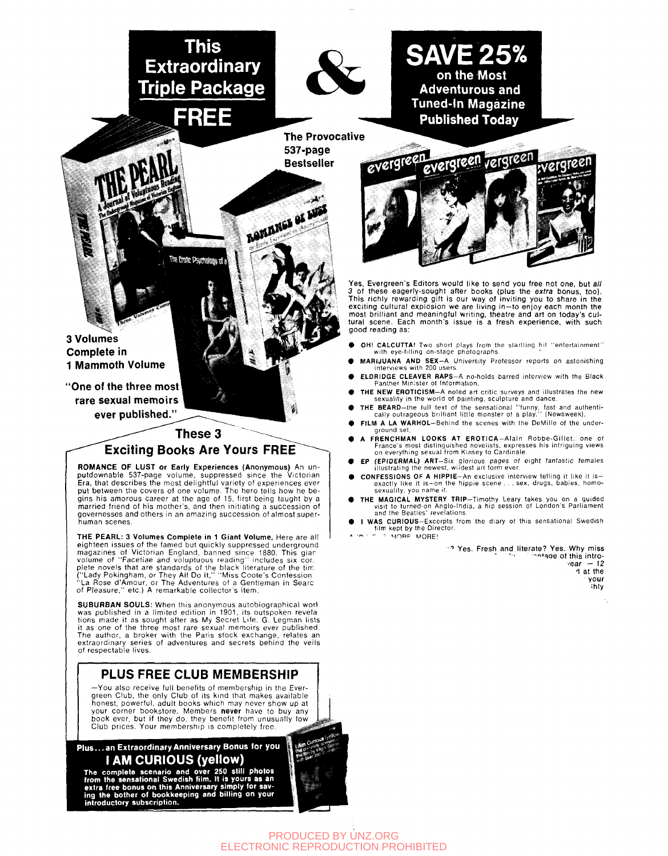**This Extraordinary Triple Package** 

**FREE** 

The Endite Psychology of a



**SAVE 25% on the Most Adventurous and Tuned-in Magazine Published Today** 

**The Provocative 537-page Bestseller** 

بغير

**BONANGS OF LUST** 



Yes, Evergreen's Editors would like to send you free not one, but all 3 of these eagerly-sought after books (plus the e*xtra* bonus, too).<br>This richly rewarding gift is our way of inviting you to share in the<br>exciting cultural explosion we are living in—to enjoy each month the most brilliant and meaningful writing, theatre and art on today's cultural scene. Each month's issue is a fresh experience, with such good reading as:

- OH! CALCUTTA! Two short plays from the startling hit "entertainment" with eye-filling on-stage photographs
- MARIJUANA AND SEX—A University Professor reports on astonishing interviews with 200 users.
- ELDRIDGE CLEAVER RAPS-A no-holds barred interview with the Black Panther Minister of Information.
- THE NEW EROTICISM-A noted art critic surveys and illustrates the new sexuality in the world ot painting, sculpture and dance.
- THE BEARD—the full text of the sensational "funny, fast and authenti-cally outrageous brilliant little monster of a play." (Newsweek). FILM A LA WARHOL-Behind the scenes with the DeMille of the under-
- ground set. FRENCHMAN LOOKS AT EROTICA-Alain Robbe-Gillet, one of
- France's most distinguished novelists, expresses his intriguing views on everything sexual from Kinsey to Cardinale.
- EP (EPIDERMAL) ART—Six glorious pages of eight fantastic females illustrating the newest, wildest art form ever.
- CONFESSIONS OF A HIPPIE-An exclusive interview telling it like it is exactly like it is—on the hippie scene . . . sex, drugs, babies, homosexuality, you name it.
- THE MAGICAL MYSTERY TRIP-Timothy Leary takes you on a guided visit to turned-on Anglo-India, a hip session ot London's Parliament and the Beatles' revelations.
- I WAS CURIOUS-Excerpts from the diary of this sensational Swedish film kept by the Director.  $T$  **MORE** MORE!

\*\* Yes. Fresh and literate? Yes. Why miss -r,i,o e of this intro- 'ear - 12  $\overline{d}$  at the your ihly

**3 Volumes Complete in 1 Mammoth Volume** 

**"One of the three most rare sexual memoirs ever published."** 

**These 3** 

**Exciting Books Are Yours FREE** 

**ROMANCE OF LUST or Early Experiences (Anonymous)** An un-<br>putdownable 537-page volume, suppressed since the Victorian<br>Era, that describes the most delightful variety of experiences ever put between the covers of one volume. The hero tells how he be-gins his amorous career at the age of 15, first being taught by a married friend of his mother's, and then initiating a succession of governesses and others in an amazing succession of almost superhuman scenes.

**THE PEARL:** 3 Volumes Complete in 1 Giant Volume. Here are all eighteen issues of the famed but quickly suppressed underground<br>magazines of Victorian England, banned since 1880. This giar<br>volume of "Facetiae and voluptuous reading" includes six cor.<br>plete novels that are standards of

**SUBURBAN SOULS:** When this anonymous autobiographical worl<br>was published in a limited edition in 1901, its outspoken revela<br>tions made it as sought after as My Secret Life. G. Legman lists it as one of the three most rare sexual memoirs ever published.<br>The author, a broker with the Paris stock exchange, relates an extraordinary series of adventures and secrets behind the veils of respectable lives.

## **PLUS FREE CLUB MEMBERSHIP**

—You also receive full benefits of membership in the Evergreen Club, the only Club of its kind that makes available honest, powerful, adult book s which may never show up at your corner bookstore. Members never have to buy any book ever, but if they do, they benefit from unusually lov. Club prices. Your membership is completely free.

**Plus.. . an Extraordinar y Anniversar y Bonus for you I AM CURIOUS (yellow)** 

The complete scenario and over 250 still photos<br>from the sensational Swedish film. It is yours as an<br>extra free bonus on this Anniversary simply for sav-<br>ing the bother of bookkeeping and billing on your<br>introductory subsc